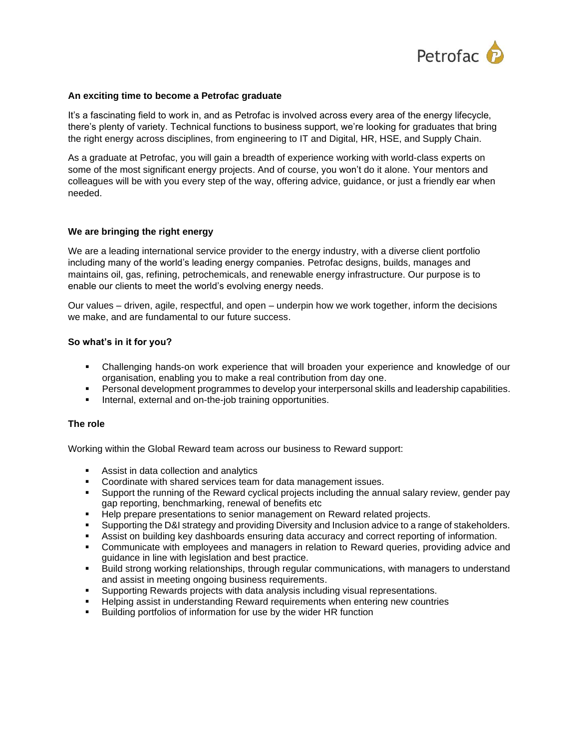

## **An exciting time to become a Petrofac graduate**

It's a fascinating field to work in, and as Petrofac is involved across every area of the energy lifecycle, there's plenty of variety. Technical functions to business support, we're looking for graduates that bring the right energy across disciplines, from engineering to IT and Digital, HR, HSE, and Supply Chain.

As a graduate at Petrofac, you will gain a breadth of experience working with world-class experts on some of the most significant energy projects. And of course, you won't do it alone. Your mentors and colleagues will be with you every step of the way, offering advice, guidance, or just a friendly ear when needed.

### **We are bringing the right energy**

We are a leading international service provider to the energy industry, with a diverse client portfolio including many of the world's leading energy companies. Petrofac designs, builds, manages and maintains oil, gas, refining, petrochemicals, and renewable energy infrastructure. Our purpose is to enable our clients to meet the world's evolving energy needs.

Our values – driven, agile, respectful, and open – underpin how we work together, inform the decisions we make, and are fundamental to our future success.

### **So what's in it for you?**

- Challenging hands-on work experience that will broaden your experience and knowledge of our organisation, enabling you to make a real contribution from day one.
- **•** Personal development programmes to develop your interpersonal skills and leadership capabilities.
- **EXECT** Internal, external and on-the-job training opportunities.

#### **The role**

Working within the Global Reward team across our business to Reward support:

- Assist in data collection and analytics
- Coordinate with shared services team for data management issues.
- Support the running of the Reward cyclical projects including the annual salary review, gender pay gap reporting, benchmarking, renewal of benefits etc
- Help prepare presentations to senior management on Reward related projects.
- **•** Supporting the D&I strategy and providing Diversity and Inclusion advice to a range of stakeholders.
- **EXECT:** Assist on building key dashboards ensuring data accuracy and correct reporting of information.
- Communicate with employees and managers in relation to Reward queries, providing advice and guidance in line with legislation and best practice.
- Build strong working relationships, through regular communications, with managers to understand and assist in meeting ongoing business requirements.
- Supporting Rewards projects with data analysis including visual representations.
- Helping assist in understanding Reward requirements when entering new countries
- Building portfolios of information for use by the wider HR function